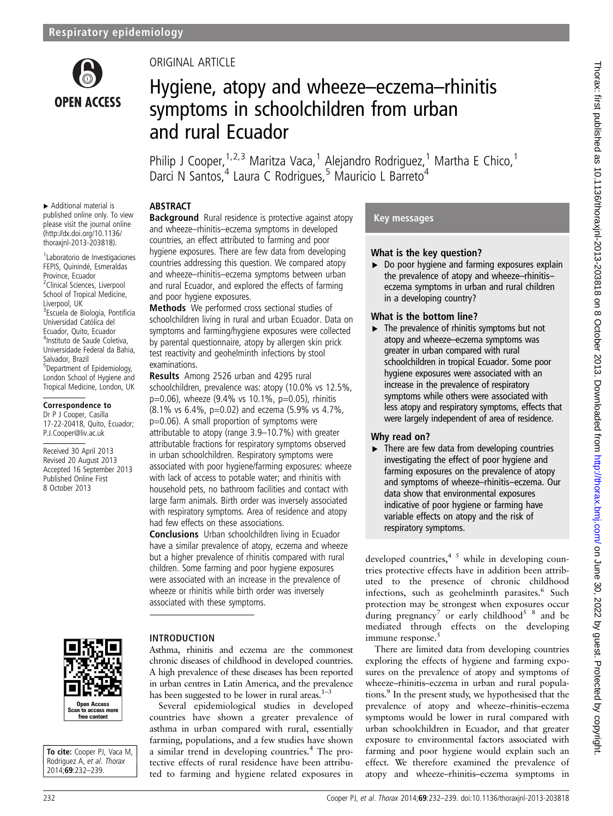

▸ Additional material is published online only. To view please visit the journal online [\(http://dx.doi.org/10.1136/](http://dx.doi.org/10.1136/thoraxjnl-2013-203818) [thoraxjnl-2013-203818\)](http://dx.doi.org/10.1136/thoraxjnl-2013-203818). 1 Laboratorio de Investigaciones FEPIS, Quinindé, Esmeraldas Province, Ecuador <sup>2</sup> Clinical Sciences, Liverpool School of Tropical Medicine,

Liverpool, UK

Salvador, Brazil

<sup>3</sup>Escuela de Biología, Pontificia Universidad Católica del Ecuador, Quito, Ecuador 4 Instituto de Saude Coletiva, Universidade Federal da Bahia,

5 Department of Epidemiology, London School of Hygiene and Tropical Medicine, London, UK

Correspondence to Dr P J Cooper, Casilla 17-22-20418, Quito, Ecuador; P.J.Cooper@liv.ac.uk Received 30 April 2013 Revised 20 August 2013 Accepted 16 September 2013 Published Online First 8 October 2013

### ORIGINAL ARTICLE

## Hygiene, atopy and wheeze–eczema–rhinitis symptoms in schoolchildren from urban and rural Ecuador

Philip J Cooper,  $1,2,3$  Maritza Vaca, <sup>1</sup> Alejandro Rodriguez, <sup>1</sup> Martha E Chico, <sup>1</sup> Darci N Santos,<sup>4</sup> Laura C Rodrigues,<sup>5</sup> Mauricio L Barreto<sup>4</sup>

#### ABSTRACT

**Background** Rural residence is protective against atopy and wheeze–rhinitis–eczema symptoms in developed countries, an effect attributed to farming and poor hygiene exposures. There are few data from developing countries addressing this question. We compared atopy and wheeze–rhinitis–eczema symptoms between urban and rural Ecuador, and explored the effects of farming and poor hygiene exposures.

Methods We performed cross sectional studies of schoolchildren living in rural and urban Ecuador. Data on symptoms and farming/hygiene exposures were collected by parental questionnaire, atopy by allergen skin prick test reactivity and geohelminth infections by stool examinations.

Results Among 2526 urban and 4295 rural schoolchildren, prevalence was: atopy (10.0% vs 12.5%, p=0.06), wheeze (9.4% vs 10.1%, p=0.05), rhinitis (8.1% vs 6.4%, p=0.02) and eczema (5.9% vs 4.7%, p=0.06). A small proportion of symptoms were attributable to atopy (range 3.9–10.7%) with greater attributable fractions for respiratory symptoms observed in urban schoolchildren. Respiratory symptoms were associated with poor hygiene/farming exposures: wheeze with lack of access to potable water; and rhinitis with household pets, no bathroom facilities and contact with large farm animals. Birth order was inversely associated with respiratory symptoms. Area of residence and atopy had few effects on these associations.

Conclusions Urban schoolchildren living in Ecuador have a similar prevalence of atopy, eczema and wheeze but a higher prevalence of rhinitis compared with rural children. Some farming and poor hygiene exposures were associated with an increase in the prevalence of wheeze or rhinitis while birth order was inversely associated with these symptoms.

# Open Access n to access m<br>free content

To cite: Cooper PJ, Vaca M, Rodriguez A, et al. Thorax 2014;69:232–239.

#### INTRODUCTION

Asthma, rhinitis and eczema are the commonest chronic diseases of childhood in developed countries. A high prevalence of these diseases has been reported in urban centres in Latin America, and the prevalence has been suggested to be lower in rural areas. $1-3$ 

Several epidemiological studies in developed countries have shown a greater prevalence of asthma in urban compared with rural, essentially farming, populations, and a few studies have shown a similar trend in developing countries.4 The protective effects of rural residence have been attributed to farming and hygiene related exposures in

#### Key messages

#### What is the key question?

▶ Do poor hygiene and farming exposures explain the prevalence of atopy and wheeze–rhinitis– eczema symptoms in urban and rural children in a developing country?

#### What is the bottom line?

 $\blacktriangleright$  The prevalence of rhinitis symptoms but not atopy and wheeze–eczema symptoms was greater in urban compared with rural schoolchildren in tropical Ecuador. Some poor hygiene exposures were associated with an increase in the prevalence of respiratory symptoms while others were associated with less atopy and respiratory symptoms, effects that were largely independent of area of residence.

#### Why read on?

 $\blacktriangleright$  There are few data from developing countries investigating the effect of poor hygiene and farming exposures on the prevalence of atopy and symptoms of wheeze–rhinitis–eczema. Our data show that environmental exposures indicative of poor hygiene or farming have variable effects on atopy and the risk of respiratory symptoms.

developed countries,  $4\frac{1}{2}$  while in developing countries protective effects have in addition been attributed to the presence of chronic childhood infections, such as geohelminth parasites.<sup>6</sup> Such protection may be strongest when exposures occur during pregnancy<sup>7</sup> or early childhood<sup>5</sup>  $\frac{8}{3}$  and be mediated through effects on the developing immune response.<sup>5</sup>

There are limited data from developing countries exploring the effects of hygiene and farming exposures on the prevalence of atopy and symptoms of wheeze–rhinitis–eczema in urban and rural populations.9 In the present study, we hypothesised that the prevalence of atopy and wheeze–rhinitis–eczema symptoms would be lower in rural compared with urban schoolchildren in Ecuador, and that greater exposure to environmental factors associated with farming and poor hygiene would explain such an effect. We therefore examined the prevalence of atopy and wheeze–rhinitis–eczema symptoms in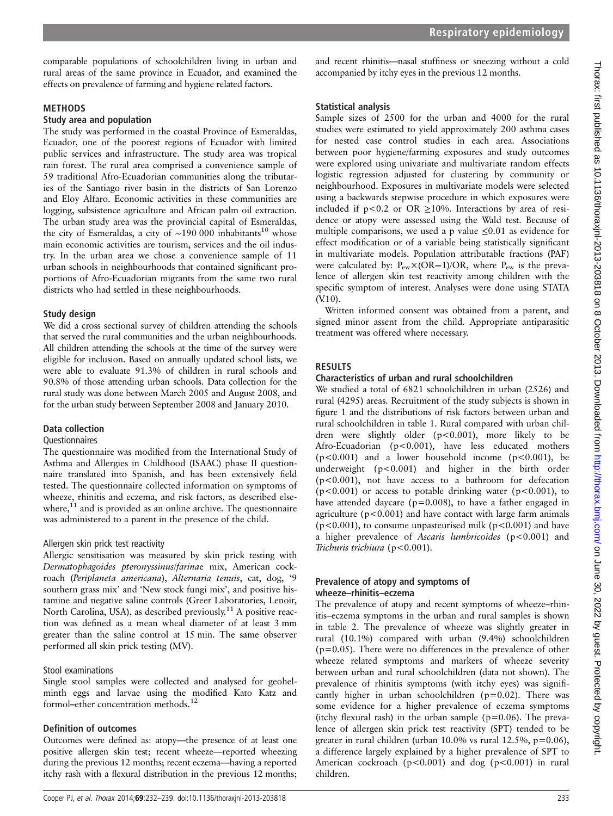comparable populations of schoolchildren living in urban and rural areas of the same province in Ecuador, and examined the effects on prevalence of farming and hygiene related factors.

#### METHODS

#### Study area and population

The study was performed in the coastal Province of Esmeraldas, Ecuador, one of the poorest regions of Ecuador with limited public services and infrastructure. The study area was tropical rain forest. The rural area comprised a convenience sample of 59 traditional Afro-Ecuadorian communities along the tributaries of the Santiago river basin in the districts of San Lorenzo and Eloy Alfaro. Economic activities in these communities are logging, subsistence agriculture and African palm oil extraction. The urban study area was the provincial capital of Esmeraldas, the city of Esmeraldas, a city of ~190 000 inhabitants<sup>10</sup> whose main economic activities are tourism, services and the oil industry. In the urban area we chose a convenience sample of 11 urban schools in neighbourhoods that contained significant proportions of Afro-Ecuadorian migrants from the same two rural districts who had settled in these neighbourhoods.

#### Study design

We did a cross sectional survey of children attending the schools that served the rural communities and the urban neighbourhoods. All children attending the schools at the time of the survey were eligible for inclusion. Based on annually updated school lists, we were able to evaluate 91.3% of children in rural schools and 90.8% of those attending urban schools. Data collection for the rural study was done between March 2005 and August 2008, and for the urban study between September 2008 and January 2010.

#### Data collection

#### **Ouestionnaires**

The questionnaire was modified from the International Study of Asthma and Allergies in Childhood (ISAAC) phase II questionnaire translated into Spanish, and has been extensively field tested. The questionnaire collected information on symptoms of wheeze, rhinitis and eczema, and risk factors, as described elsewhere, $^{11}$  and is provided as an online archive. The questionnaire was administered to a parent in the presence of the child.

#### Allergen skin prick test reactivity

Allergic sensitisation was measured by skin prick testing with Dermatophagoides pteronyssinus/farinae mix, American cockroach (Periplaneta americana), Alternaria tenuis, cat, dog, '9 southern grass mix' and 'New stock fungi mix', and positive histamine and negative saline controls (Greer Laboratories, Lenoir, North Carolina, USA), as described previously.<sup>11</sup> A positive reaction was defined as a mean wheal diameter of at least 3 mm greater than the saline control at 15 min. The same observer performed all skin prick testing (MV).

#### Stool examinations

Single stool samples were collected and analysed for geohelminth eggs and larvae using the modified Kato Katz and formol–ether concentration methods.<sup>12</sup>

#### Definition of outcomes

Outcomes were defined as: atopy—the presence of at least one positive allergen skin test; recent wheeze—reported wheezing during the previous 12 months; recent eczema—having a reported itchy rash with a flexural distribution in the previous 12 months;

and recent rhinitis—nasal stuffiness or sneezing without a cold accompanied by itchy eyes in the previous 12 months.

#### Statistical analysis

Sample sizes of 2500 for the urban and 4000 for the rural studies were estimated to yield approximately 200 asthma cases for nested case control studies in each area. Associations between poor hygiene/farming exposures and study outcomes were explored using univariate and multivariate random effects logistic regression adjusted for clustering by community or neighbourhood. Exposures in multivariate models were selected using a backwards stepwise procedure in which exposures were included if  $p < 0.2$  or OR  $\geq 10\%$ . Interactions by area of residence or atopy were assessed using the Wald test. Because of multiple comparisons, we used a p value ≤0.01 as evidence for effect modification or of a variable being statistically significant in multivariate models. Population attributable fractions (PAF) were calculated by:  $P_{ew} \times (OR-1)/OR$ , where  $P_{ew}$  is the prevalence of allergen skin test reactivity among children with the specific symptom of interest. Analyses were done using STATA (V.10).

Written informed consent was obtained from a parent, and signed minor assent from the child. Appropriate antiparasitic treatment was offered where necessary.

#### RESULTS

#### Characteristics of urban and rural schoolchildren

We studied a total of 6821 schoolchildren in urban (2526) and rural (4295) areas. Recruitment of the study subjects is shown in figure 1 and the distributions of risk factors between urban and rural schoolchildren in table 1. Rural compared with urban children were slightly older (p<0.001), more likely to be Afro-Ecuadorian (p<0.001), have less educated mothers  $(p<0.001)$  and a lower household income  $(p<0.001)$ , be underweight (p<0.001) and higher in the birth order (p<0.001), not have access to a bathroom for defecation  $(p<0.001)$  or access to potable drinking water  $(p<0.001)$ , to have attended daycare ( $p=0.008$ ), to have a father engaged in agriculture ( $p < 0.001$ ) and have contact with large farm animals  $(p<0.001)$ , to consume unpasteurised milk ( $p<0.001$ ) and have a higher prevalence of Ascaris lumbricoides ( $p$ <0.001) and Trichuris trichiura (p<0.001).

#### Prevalence of atopy and symptoms of wheeze–rhinitis–eczema

The prevalence of atopy and recent symptoms of wheeze–rhinitis–eczema symptoms in the urban and rural samples is shown in table 2. The prevalence of wheeze was slightly greater in rural (10.1%) compared with urban (9.4%) schoolchildren  $(p=0.05)$ . There were no differences in the prevalence of other wheeze related symptoms and markers of wheeze severity between urban and rural schoolchildren (data not shown). The prevalence of rhinitis symptoms (with itchy eyes) was significantly higher in urban schoolchildren ( $p=0.02$ ). There was some evidence for a higher prevalence of eczema symptoms (itchy flexural rash) in the urban sample ( $p=0.06$ ). The prevalence of allergen skin prick test reactivity (SPT) tended to be greater in rural children (urban  $10.0\%$  vs rural  $12.5\%$ , p=0.06), a difference largely explained by a higher prevalence of SPT to American cockroach (p<0.001) and dog (p<0.001) in rural children.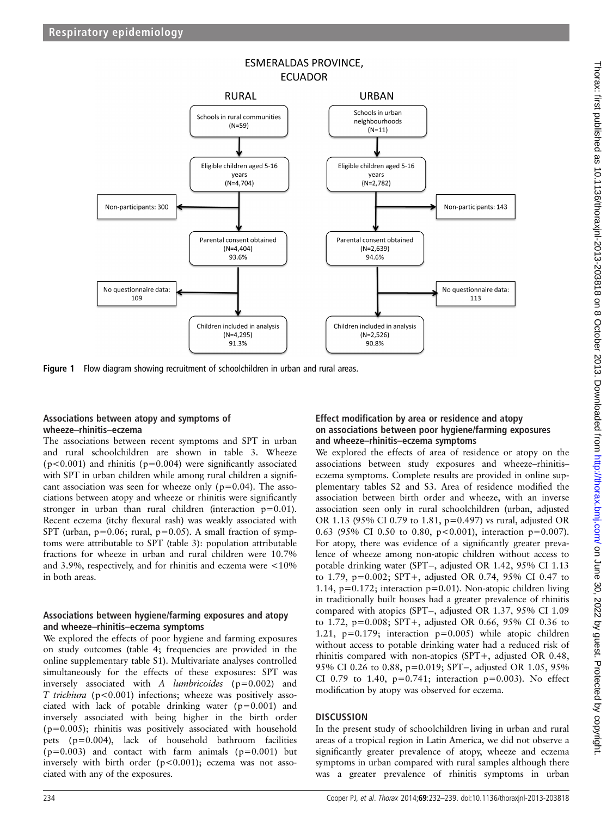

Figure 1 Flow diagram showing recruitment of schoolchildren in urban and rural areas.

#### Associations between atopy and symptoms of wheeze–rhinitis–eczema

The associations between recent symptoms and SPT in urban and rural schoolchildren are shown in table 3. Wheeze  $(p<0.001)$  and rhinitis ( $p=0.004$ ) were significantly associated with SPT in urban children while among rural children a significant association was seen for wheeze only  $(p=0.04)$ . The associations between atopy and wheeze or rhinitis were significantly stronger in urban than rural children (interaction p=0.01). Recent eczema (itchy flexural rash) was weakly associated with SPT (urban,  $p=0.06$ ; rural,  $p=0.05$ ). A small fraction of symptoms were attributable to SPT (table 3): population attributable fractions for wheeze in urban and rural children were 10.7% and 3.9%, respectively, and for rhinitis and eczema were <10% in both areas.

#### Associations between hygiene/farming exposures and atopy and wheeze–rhinitis–eczema symptoms

We explored the effects of poor hygiene and farming exposures on study outcomes (table 4; frequencies are provided in the online supplementary table S1). Multivariate analyses controlled simultaneously for the effects of these exposures: SPT was inversely associated with  $A$  *lumbricoides* ( $p=0.002$ ) and T trichiura (p<0.001) infections; wheeze was positively associated with lack of potable drinking water (p=0.001) and inversely associated with being higher in the birth order (p=0.005); rhinitis was positively associated with household pets (p=0.004), lack of household bathroom facilities  $(p=0.003)$  and contact with farm animals  $(p=0.001)$  but inversely with birth order (p<0.001); eczema was not associated with any of the exposures.

#### Effect modification by area or residence and atopy on associations between poor hygiene/farming exposures and wheeze–rhinitis–eczema symptoms

We explored the effects of area of residence or atopy on the associations between study exposures and wheeze–rhinitis– eczema symptoms. Complete results are provided in online supplementary tables S2 and S3. Area of residence modified the association between birth order and wheeze, with an inverse association seen only in rural schoolchildren (urban, adjusted OR 1.13 (95% CI 0.79 to 1.81, p=0.497) vs rural, adjusted OR 0.63 (95% CI 0.50 to 0.80, p<0.001), interaction p=0.007). For atopy, there was evidence of a significantly greater prevalence of wheeze among non-atopic children without access to potable drinking water (SPT−, adjusted OR 1.42, 95% CI 1.13 to 1.79, p=0.002; SPT+, adjusted OR 0.74, 95% CI 0.47 to 1.14, p=0.172; interaction p=0.01). Non-atopic children living in traditionally built houses had a greater prevalence of rhinitis compared with atopics (SPT−, adjusted OR 1.37, 95% CI 1.09 to 1.72, p=0.008; SPT+, adjusted OR 0.66, 95% CI 0.36 to 1.21,  $p=0.179$ ; interaction  $p=0.005$ ) while atopic children without access to potable drinking water had a reduced risk of rhinitis compared with non-atopics (SPT+, adjusted OR 0.48, 95% CI 0.26 to 0.88, p=0.019; SPT−, adjusted OR 1.05, 95% CI 0.79 to 1.40,  $p=0.741$ ; interaction  $p=0.003$ ). No effect modification by atopy was observed for eczema.

#### **DISCUSSION**

In the present study of schoolchildren living in urban and rural areas of a tropical region in Latin America, we did not observe a significantly greater prevalence of atopy, wheeze and eczema symptoms in urban compared with rural samples although there was a greater prevalence of rhinitis symptoms in urban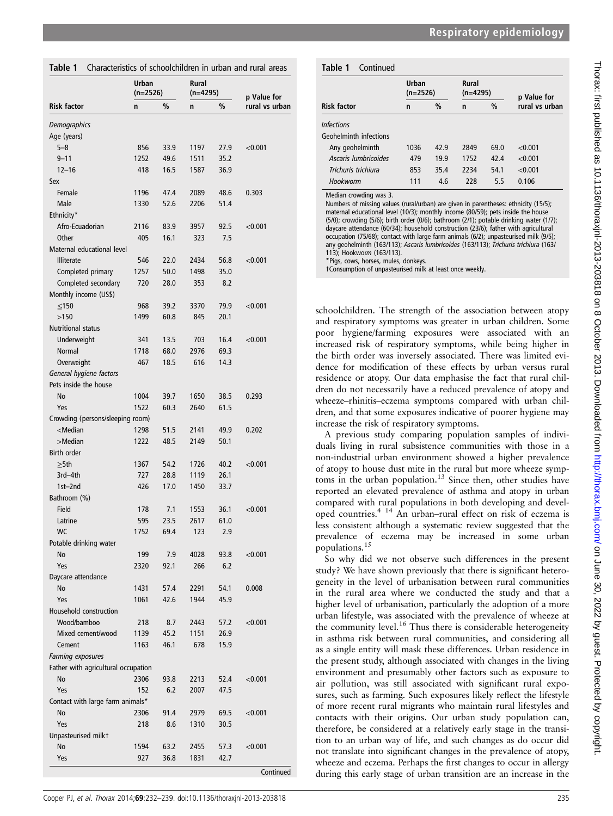| Characteristics of schoolchildren in urban and rural areas<br>Table 1<br>Table 1                             |                     |      |                     |      |                |                                |  |  |  |  |
|--------------------------------------------------------------------------------------------------------------|---------------------|------|---------------------|------|----------------|--------------------------------|--|--|--|--|
|                                                                                                              | Urban<br>$(n=2526)$ |      | Rural<br>$(n=4295)$ |      | p Value for    |                                |  |  |  |  |
| <b>Risk factor</b>                                                                                           | n                   | %    | n                   | $\%$ | rural vs urban | <b>Risk factor</b>             |  |  |  |  |
| Demographics                                                                                                 |                     |      |                     |      |                | <b>Infections</b>              |  |  |  |  |
| Age (years)                                                                                                  |                     |      |                     |      |                | Geohelminth                    |  |  |  |  |
| $5 - 8$                                                                                                      | 856                 | 33.9 | 1197                | 27.9 | < 0.001        | Any geohe                      |  |  |  |  |
| $9 - 11$                                                                                                     | 1252                | 49.6 | 1511                | 35.2 |                | Ascaris lun                    |  |  |  |  |
| $12 - 16$                                                                                                    | 418                 | 16.5 | 1587                | 36.9 |                | Trichuris tn                   |  |  |  |  |
| Sex                                                                                                          |                     |      |                     |      |                | Hookworm                       |  |  |  |  |
| Female                                                                                                       | 1196                | 47.4 | 2089                | 48.6 | 0.303          | Median crow                    |  |  |  |  |
| Male                                                                                                         | 1330                | 52.6 | 2206                | 51.4 |                | Numbers of r                   |  |  |  |  |
| Ethnicity*                                                                                                   |                     |      |                     |      |                | maternal edu<br>(5/0); crowdii |  |  |  |  |
| Afro-Ecuadorian                                                                                              | 2116                | 83.9 | 3957                | 92.5 | < 0.001        | daycare atter                  |  |  |  |  |
| Other                                                                                                        | 405                 | 16.1 | 323                 | 7.5  |                | occupation (7                  |  |  |  |  |
| Maternal educational level                                                                                   |                     |      |                     |      |                | any geohelm<br>113); Hookw     |  |  |  |  |
| <b>Illiterate</b>                                                                                            | 546                 | 22.0 | 2434                | 56.8 | < 0.001        | *Pigs, cows,                   |  |  |  |  |
| Completed primary                                                                                            | 1257                | 50.0 | 1498                | 35.0 |                | <b>†Consumptio</b>             |  |  |  |  |
| Completed secondary                                                                                          | 720                 | 28.0 | 353                 | 8.2  |                |                                |  |  |  |  |
| Monthly income (US\$)                                                                                        |                     |      |                     |      |                |                                |  |  |  |  |
| $≤150$                                                                                                       | 968                 | 39.2 | 3370                | 79.9 | < 0.001        | schoolchild                    |  |  |  |  |
| >150                                                                                                         | 1499                | 60.8 | 845                 | 20.1 |                | and respirat                   |  |  |  |  |
| <b>Nutritional status</b>                                                                                    |                     |      |                     |      |                | hygie<br>poor                  |  |  |  |  |
| Underweight                                                                                                  | 341                 | 13.5 | 703                 | 16.4 | < 0.001        | increased ri                   |  |  |  |  |
| <b>Normal</b>                                                                                                | 1718                | 68.0 | 2976                | 69.3 |                | the birth or                   |  |  |  |  |
| Overweight                                                                                                   | 467                 | 18.5 | 616                 | 14.3 |                | dence for 1                    |  |  |  |  |
| General hygiene factors                                                                                      |                     |      |                     |      |                | residence of                   |  |  |  |  |
| Pets inside the house                                                                                        |                     |      |                     |      |                | dren do no                     |  |  |  |  |
| No                                                                                                           | 1004                | 39.7 | 1650                | 38.5 | 0.293          | wheeze-rhii                    |  |  |  |  |
| Yes                                                                                                          | 1522                | 60.3 | 2640                | 61.5 |                | dren, and tl                   |  |  |  |  |
| Crowding (persons/sleeping room)                                                                             |                     |      |                     |      |                | increase the                   |  |  |  |  |
| <median< td=""><td>1298</td><td>51.5</td><td>2141</td><td>49.9</td><td>0.202</td><td>A previo</td></median<> | 1298                | 51.5 | 2141                | 49.9 | 0.202          | A previo                       |  |  |  |  |
| >Median                                                                                                      | 1222                | 48.5 | 2149                | 50.1 |                | duals living                   |  |  |  |  |
| Birth order                                                                                                  |                     |      |                     |      |                | non-industr                    |  |  |  |  |
| $\geq$ 5th                                                                                                   | 1367                | 54.2 | 1726                | 40.2 | < 0.001        | of atopy to                    |  |  |  |  |
| 3rd-4th                                                                                                      | 727                 | 28.8 | 1119                | 26.1 |                | toms in the                    |  |  |  |  |
| 1st-2nd                                                                                                      | 426                 | 17.0 | 1450                | 33.7 |                | reported an                    |  |  |  |  |
| Bathroom (%)                                                                                                 |                     |      |                     |      |                | compared v                     |  |  |  |  |
| Field                                                                                                        | 178                 | 7.1  | 1553                | 36.1 | < 0.001        | oped count                     |  |  |  |  |
| Latrine                                                                                                      | 595                 | 23.5 | 2617                | 61.0 |                | less consiste                  |  |  |  |  |
| WC                                                                                                           | 1752                | 69.4 | 123                 | 2.9  |                | prevalence                     |  |  |  |  |
| Potable drinking water                                                                                       |                     |      |                     |      |                | populations                    |  |  |  |  |
| No                                                                                                           | 199                 | 7.9  | 4028                | 93.8 | < 0.001        | So why o                       |  |  |  |  |
| Yes                                                                                                          | 2320                | 92.1 | 266                 | 6.2  |                | study? We h                    |  |  |  |  |
| Daycare attendance                                                                                           |                     |      |                     |      |                | geneity in t                   |  |  |  |  |
| No                                                                                                           | 1431                | 57.4 | 2291                | 54.1 | 0.008          | in the rura                    |  |  |  |  |
| Yes                                                                                                          | 1061                | 42.6 | 1944                | 45.9 |                | higher level                   |  |  |  |  |

Household construction

Farming exposures

Unpasteurised milk†

Father with agricultural occupation

Contact with large farm animals\*

| rural areas | Table 1 Cont |  |
|-------------|--------------|--|
|             |              |  |

| Table 1<br>Continued   |                     |               |                     |      |                |  |
|------------------------|---------------------|---------------|---------------------|------|----------------|--|
|                        | Urban<br>$(n=2526)$ |               | Rural<br>$(n=4295)$ |      | p Value for    |  |
| <b>Risk factor</b>     | n                   | $\frac{0}{0}$ | n                   | $\%$ | rural vs urban |  |
| <b>Infections</b>      |                     |               |                     |      |                |  |
| Geohelminth infections |                     |               |                     |      |                |  |
| Any geohelminth        | 1036                | 42.9          | 2849                | 69.0 | < 0.001        |  |
| Ascaris lumbricoides   | 479                 | 19.9          | 1752                | 42.4 | < 0.001        |  |
| Trichuris trichiura    | 853                 | 35.4          | 2234                | 54.1 | < 0.001        |  |
| Hookworm               | 111                 | 4.6           | 228                 | 5.5  | 0.106          |  |

 $nd$ ing was 3.

missing values (rural/urban) are given in parentheses: ethnicity (15/5); icational level (10/3); monthly income (80/59); pets inside the house ng (5/6); birth order (0/6); bathroom (2/1); potable drinking water (1/7); dance (60/34); household construction (23/6); father with agricultural  $75/68$ ); contact with large farm animals (6/2); unpasteurised milk (9/5); inth (163/113); Ascaris lumbricoides (163/113); Trichuris trichiura (163/  $\lim (163/113).$ horses, mules, donkeys.

on of unpasteurised milk at least once weekly.

ren. The strength of the association between atopy tory symptoms was greater in urban children. Some ene/farming exposures were associated with an isk of respiratory symptoms, while being higher in rder was inversely associated. There was limited evimodification of these effects by urban versus rural r atopy. Our data emphasise the fact that rural chilt necessarily have a reduced prevalence of atopy and nitis–eczema symptoms compared with urban chilhat some exposures indicative of poorer hygiene may risk of respiratory symptoms.

us study comparing population samples of indiviin rural subsistence communities with those in a rial urban environment showed a higher prevalence house dust mite in the rural but more wheeze sympurban population. $13$  Since then, other studies have elevated prevalence of asthma and atopy in urban with rural populations in both developing and develries.<sup>4 14</sup> An urban–rural effect on risk of eczema is ent although a systematic review suggested that the of eczema may be increased in some urban  $15$ 

did we not observe such differences in the present ave shown previously that there is significant heterothe level of urbanisation between rural communities al area where we conducted the study and that a higher level of urbanisation, particularly the adoption of a more urban lifestyle, was associated with the prevalence of wheeze at the community level.<sup>16</sup> Thus there is considerable heterogeneity in asthma risk between rural communities, and considering all as a single entity will mask these differences. Urban residence in the present study, although associated with changes in the living environment and presumably other factors such as exposure to air pollution, was still associated with significant rural exposures, such as farming. Such exposures likely reflect the lifestyle of more recent rural migrants who maintain rural lifestyles and contacts with their origins. Our urban study population can, therefore, be considered at a relatively early stage in the transition to an urban way of life, and such changes as do occur did not translate into significant changes in the prevalence of atopy, wheeze and eczema. Perhaps the first changes to occur in allergy during this early stage of urban transition are an increase in the

Continued

Wood/bamboo 218 8.7 2443 57.2 <0.001

No 2306 93.8 2213 52.4 <0.001

No 2306 91.4 2979 69.5 <0.001

No 1594 63.2 2455 57.3 <0.001

Mixed cement/wood 1139 45.2 1151 26.9 Cement 1163 46.1 678 15.9

Yes 152 6.2 2007 47.5

Yes 218 8.6 1310 30.5

Yes 927 36.8 1831 42.7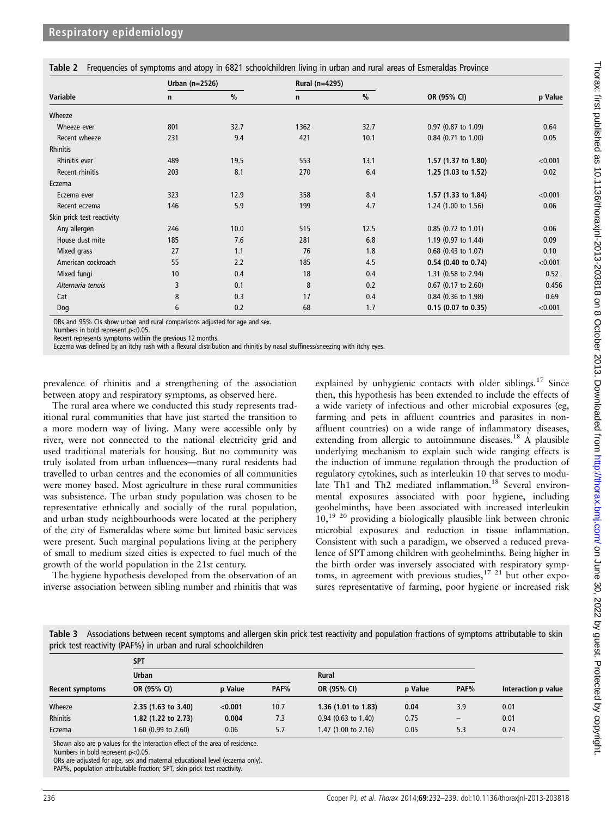|  | Table 2 Frequencies of symptoms and atopy in 6821 schoolchildren living in urban and rural areas of Esmeraldas Province |  |  |  |
|--|-------------------------------------------------------------------------------------------------------------------------|--|--|--|
|  |                                                                                                                         |  |  |  |

|                            | Urban $(n=2526)$ |               | Rural (n=4295) |               |                       |         |
|----------------------------|------------------|---------------|----------------|---------------|-----------------------|---------|
| Variable                   | n                | $\frac{0}{0}$ | n              | $\frac{0}{0}$ | OR (95% CI)           | p Value |
| Wheeze                     |                  |               |                |               |                       |         |
| Wheeze ever                | 801              | 32.7          | 1362           | 32.7          | 0.97 (0.87 to 1.09)   | 0.64    |
| Recent wheeze              | 231              | 9.4           | 421            | 10.1          | $0.84$ (0.71 to 1.00) | 0.05    |
| <b>Rhinitis</b>            |                  |               |                |               |                       |         |
| <b>Rhinitis ever</b>       | 489              | 19.5          | 553            | 13.1          | 1.57 (1.37 to 1.80)   | < 0.001 |
| Recent rhinitis            | 203              | 8.1           | 270            | 6.4           | 1.25 $(1.03$ to 1.52) | 0.02    |
| Eczema                     |                  |               |                |               |                       |         |
| Eczema ever                | 323              | 12.9          | 358            | 8.4           | 1.57 (1.33 to 1.84)   | < 0.001 |
| Recent eczema              | 146              | 5.9           | 199            | 4.7           | 1.24 (1.00 to 1.56)   | 0.06    |
| Skin prick test reactivity |                  |               |                |               |                       |         |
| Any allergen               | 246              | 10.0          | 515            | 12.5          | 0.85 (0.72 to 1.01)   | 0.06    |
| House dust mite            | 185              | 7.6           | 281            | 6.8           | 1.19 (0.97 to 1.44)   | 0.09    |
| Mixed grass                | 27               | 1.1           | 76             | 1.8           | 0.68 (0.43 to 1.07)   | 0.10    |
| American cockroach         | 55               | 2.2           | 185            | 4.5           | $0.54$ (0.40 to 0.74) | < 0.001 |
| Mixed fungi                | 10               | 0.4           | 18             | 0.4           | 1.31 (0.58 to 2.94)   | 0.52    |
| Alternaria tenuis          | 3                | 0.1           | 8              | 0.2           | 0.67 (0.17 to 2.60)   | 0.456   |
| Cat                        | 8                | 0.3           | 17             | 0.4           | 0.84 (0.36 to 1.98)   | 0.69    |
| Dog                        | 6                | 0.2           | 68             | 1.7           | $0.15$ (0.07 to 0.35) | < 0.001 |

ORs and 95% CIs show urban and rural comparisons adjusted for age and sex.

Numbers in bold represent p<0.05.

Recent represents symptoms within the previous 12 months.

Eczema was defined by an itchy rash with a flexural distribution and rhinitis by nasal stuffiness/sneezing with itchy eyes.

prevalence of rhinitis and a strengthening of the association between atopy and respiratory symptoms, as observed here.

The rural area where we conducted this study represents traditional rural communities that have just started the transition to a more modern way of living. Many were accessible only by river, were not connected to the national electricity grid and used traditional materials for housing. But no community was truly isolated from urban influences—many rural residents had travelled to urban centres and the economies of all communities were money based. Most agriculture in these rural communities was subsistence. The urban study population was chosen to be representative ethnically and socially of the rural population, and urban study neighbourhoods were located at the periphery of the city of Esmeraldas where some but limited basic services were present. Such marginal populations living at the periphery of small to medium sized cities is expected to fuel much of the growth of the world population in the 21st century.

The hygiene hypothesis developed from the observation of an inverse association between sibling number and rhinitis that was

explained by unhygienic contacts with older siblings.<sup>17</sup> Since then, this hypothesis has been extended to include the effects of a wide variety of infectious and other microbial exposures (eg, farming and pets in affluent countries and parasites in nonaffluent countries) on a wide range of inflammatory diseases, extending from allergic to autoimmune diseases.<sup>18</sup> A plausible underlying mechanism to explain such wide ranging effects is the induction of immune regulation through the production of regulatory cytokines, such as interleukin 10 that serves to modulate Th1 and Th2 mediated inflammation.<sup>18</sup> Several environmental exposures associated with poor hygiene, including geohelminths, have been associated with increased interleukin  $10<sub>19</sub>$ <sup>19 20</sup> providing a biologically plausible link between chronic microbial exposures and reduction in tissue inflammation. Consistent with such a paradigm, we observed a reduced prevalence of SPT among children with geohelminths. Being higher in the birth order was inversely associated with respiratory symptoms, in agreement with previous studies,  $17 \times 21$  but other exposures representative of farming, poor hygiene or increased risk

Table 3 Associations between recent symptoms and allergen skin prick test reactivity and population fractions of symptoms attributable to skin prick test reactivity (PAF%) in urban and rural schoolchildren

|                 | <b>SPT</b>          |         |      |                                |         |                   |                     |
|-----------------|---------------------|---------|------|--------------------------------|---------|-------------------|---------------------|
|                 | <b>Urban</b>        |         |      | <b>Rural</b>                   |         |                   |                     |
| Recent symptoms | OR (95% CI)         | p Value | PAF% | OR (95% CI)                    | p Value | PAF%              | Interaction p value |
| Wheeze          | 2.35(1.63 to 3.40)  | < 0.001 | 10.7 | 1.36 $(1.01$ to 1.83)          | 0.04    | 3.9               | 0.01                |
| <b>Rhinitis</b> | 1.82 (1.22 to 2.73) | 0.004   | 7.3  | $0.94$ (0.63 to 1.40)          | 0.75    | $\qquad \qquad -$ | 0.01                |
| Eczema          | 1.60 (0.99 to 2.60) | 0.06    | 5.7  | 1.47 $(1.00 \text{ to } 2.16)$ | 0.05    | 5.3               | 0.74                |

Shown also are p values for the interaction effect of the area of residence.

ORs are adjusted for age, sex and maternal educational level (eczema only).

PAF%, population attributable fraction; SPT, skin prick test reactivity.

Numbers in bold represent p<0.05.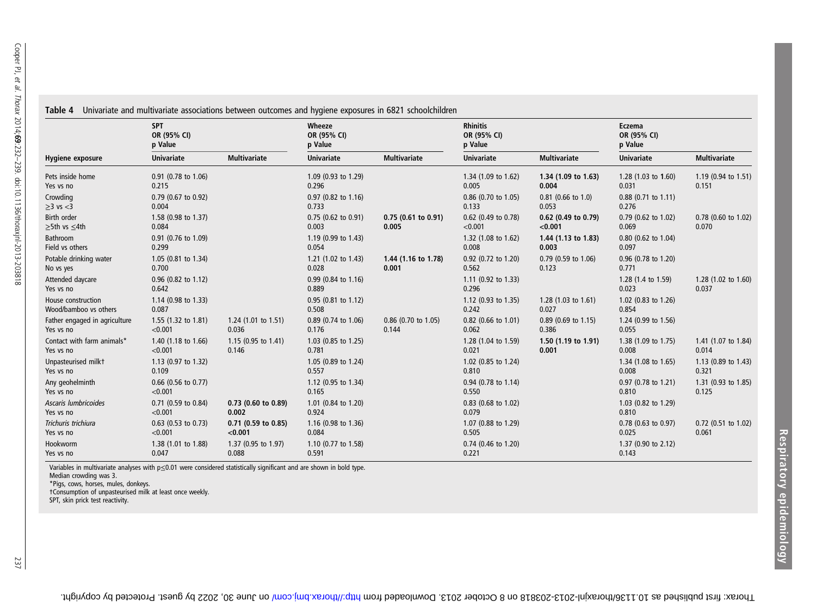|                                                                  |                                                                                                                                                                                                                 | Table 4 Un    |  |
|------------------------------------------------------------------|-----------------------------------------------------------------------------------------------------------------------------------------------------------------------------------------------------------------|---------------|--|
|                                                                  |                                                                                                                                                                                                                 | Hygiene expos |  |
| et al. Thorax 2014;69:232-239. doi:10.1136/thoraxjnl-2013-203818 | Pets inside hom<br>Yes vs no<br>Crowding<br>$\geq$ 3 vs $<$ 3<br>Birth order<br>$\geq$ 5th vs $\leq$ 4th<br><b>Bathroom</b><br>Field vs others<br>Potable drinking<br>No vs yes<br>Attended daycar<br>Yes vs no |               |  |
|                                                                  |                                                                                                                                                                                                                 |               |  |

|  |  |  |  | able 4 Univariate and multivariate associations between outcomes and hygiene exposures in 6821 schoolchildren |
|--|--|--|--|---------------------------------------------------------------------------------------------------------------|
|  |  |  |  |                                                                                                               |

|                                             | <b>SPT</b><br>OR (95% CI)<br>p Value |                                  | Wheeze<br>OR (95% CI)<br>p Value        |                              | <b>Rhinitis</b><br>OR (95% CI)<br>p Value |                                | Eczema<br>OR (95% CI)<br>p Value |                                |
|---------------------------------------------|--------------------------------------|----------------------------------|-----------------------------------------|------------------------------|-------------------------------------------|--------------------------------|----------------------------------|--------------------------------|
| <b>Hygiene exposure</b>                     | <b>Univariate</b>                    | <b>Multivariate</b>              | <b>Univariate</b>                       | <b>Multivariate</b>          | <b>Univariate</b>                         | <b>Multivariate</b>            | <b>Univariate</b>                | <b>Multivariate</b>            |
| Pets inside home<br>Yes vs no               | 0.91 (0.78 to 1.06)<br>0.215         |                                  | 1.09 (0.93 to 1.29)<br>0.296            |                              | 1.34 (1.09 to 1.62)<br>0.005              | 1.34 (1.09 to 1.63)<br>0.004   | 1.28 (1.03 to 1.60)<br>0.031     | 1.19 (0.94 to 1.51)<br>0.151   |
| Crowding<br>$\geq$ 3 vs $<$ 3               | 0.79 (0.67 to 0.92)<br>0.004         |                                  | 0.97 (0.82 to 1.16)<br>0.733            |                              | 0.86 (0.70 to 1.05)<br>0.133              | $0.81$ (0.66 to 1.0)<br>0.053  | $0.88$ (0.71 to 1.11)<br>0.276   |                                |
| Birth order<br>$\geq$ 5th vs $\leq$ 4th     | 1.58 (0.98 to 1.37)<br>0.084         |                                  | $0.75$ (0.62 to 0.91)<br>0.003          | 0.75(0.61 to 0.91)<br>0.005  | 0.62 (0.49 to 0.78)<br>< 0.001            | 0.62 (0.49 to 0.79)<br>< 0.001 | $0.79$ (0.62 to 1.02)<br>0.069   | 0.78 (0.60 to 1.02)<br>0.070   |
| Bathroom<br>Field vs others                 | 0.91 (0.76 to 1.09)<br>0.299         |                                  | 1.19 (0.99 to 1.43)<br>0.054            |                              | 1.32 (1.08 to 1.62)<br>0.008              | 1.44 (1.13 to 1.83)<br>0.003   | 0.80 (0.62 to 1.04)<br>0.097     |                                |
| Potable drinking water<br>No vs yes         | 1.05 (0.81 to 1.34)<br>0.700         |                                  | 1.21 $(1.02 \text{ to } 1.43)$<br>0.028 | 1.44 (1.16 to 1.78)<br>0.001 | 0.92 (0.72 to 1.20)<br>0.562              | $0.79$ (0.59 to 1.06)<br>0.123 | 0.96 (0.78 to 1.20)<br>0.771     |                                |
| Attended daycare<br>Yes vs no               | 0.96 (0.82 to 1.12)<br>0.642         |                                  | 0.99 (0.84 to 1.16)<br>0.889            |                              | 1.11 (0.92 to 1.33)<br>0.296              |                                | 1.28 (1.4 to 1.59)<br>0.023      | 1.28 (1.02 to 1.60)<br>0.037   |
| House construction<br>Wood/bamboo vs others | 1.14 (0.98 to 1.33)<br>0.087         |                                  | 0.95 (0.81 to 1.12)<br>0.508            |                              | 1.12 (0.93 to 1.35)<br>0.242              | 1.28 (1.03 to 1.61)<br>0.027   | 1.02 (0.83 to 1.26)<br>0.854     |                                |
| Father engaged in agriculture<br>Yes vs no  | 1.55 (1.32 to 1.81)<br>< 0.001       | $1.24$ (1.01 to 1.51)<br>0.036   | 0.89 (0.74 to 1.06)<br>0.176            | 0.86 (0.70 to 1.05)<br>0.144 | 0.82 (0.66 to 1.01)<br>0.062              | $0.89$ (0.69 to 1.15)<br>0.386 | 1.24 (0.99 to 1.56)<br>0.055     |                                |
| Contact with farm animals*<br>Yes vs no     | 1.40 (1.18 to 1.66)<br>< 0.001       | 1.15 $(0.95$ to 1.41)<br>0.146   | 1.03 (0.85 to 1.25)<br>0.781            |                              | 1.28 (1.04 to 1.59)<br>0.021              | 1.50 (1.19 to 1.91)<br>0.001   | 1.38 (1.09 to 1.75)<br>0.008     | 1.41 (1.07 to 1.84)<br>0.014   |
| Unpasteurised milkt<br>Yes vs no            | 1.13 (0.97 to 1.32)<br>0.109         |                                  | 1.05 (0.89 to 1.24)<br>0.557            |                              | 1.02 (0.85 to 1.24)<br>0.810              |                                | 1.34 (1.08 to 1.65)<br>0.008     | 1.13 (0.89 to 1.43)<br>0.321   |
| Any geohelminth<br>Yes vs no                | 0.66 (0.56 to 0.77)<br>< 0.001       |                                  | 1.12 (0.95 to 1.34)<br>0.165            |                              | 0.94 (0.78 to 1.14)<br>0.550              |                                | 0.97 (0.78 to 1.21)<br>0.810     | 1.31 (0.93 to 1.85)<br>0.125   |
| Ascaris lumbricoides<br>Yes vs no           | 0.71 (0.59 to 0.84)<br>< 0.001       | $0.73$ (0.60 to 0.89)<br>0.002   | 1.01 (0.84 to 1.20)<br>0.924            |                              | 0.83 (0.68 to 1.02)<br>0.079              |                                | 1.03 (0.82 to 1.29)<br>0.810     |                                |
| Trichuris trichiura<br>Yes vs no            | $0.63$ (0.53 to 0.73)<br>< 0.001     | $0.71$ (0.59 to 0.85)<br>< 0.001 | 1.16 (0.98 to 1.36)<br>0.084            |                              | 1.07 (0.88 to 1.29)<br>0.505              |                                | $0.78$ (0.63 to 0.97)<br>0.025   | $0.72$ (0.51 to 1.02)<br>0.061 |
| Hookworm<br>Yes vs no                       | 1.38 (1.01 to 1.88)<br>0.047         | 1.37 (0.95 to 1.97)<br>0.088     | 1.10 (0.77 to 1.58)<br>0.591            |                              | 0.74 (0.46 to 1.20)<br>0.221              |                                | 1.37 (0.90 to 2.12)<br>0.143     |                                |

Variables in multivariate analyses with p≤0.01 were considered statistically significant and are shown in bold type. Median crowding was 3.

\*Pigs, cows, horses, mules, donkeys. †Consumption of unpasteurised milk at least once weekly. SPT, skin prick test reactivity.

237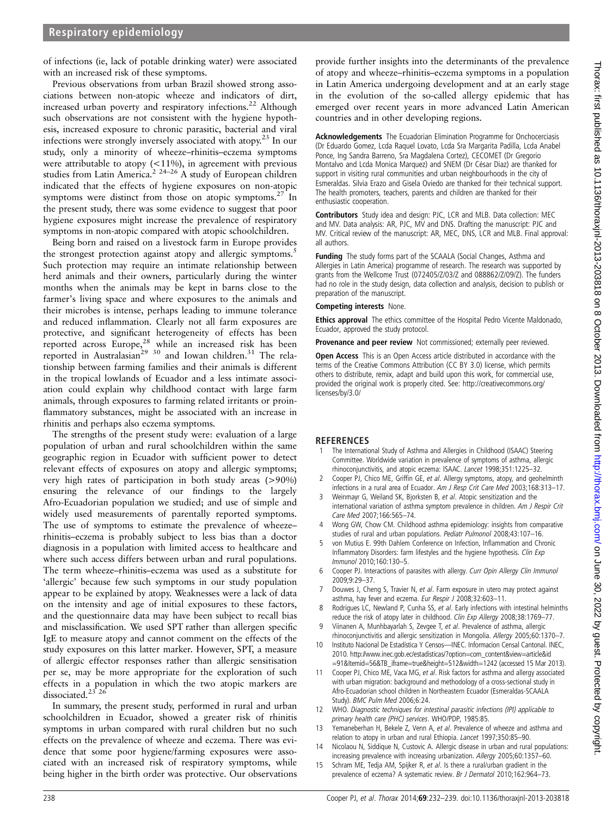of infections (ie, lack of potable drinking water) were associated with an increased risk of these symptoms.

Previous observations from urban Brazil showed strong associations between non-atopic wheeze and indicators of dirt, increased urban poverty and respiratory infections.<sup>22</sup> Although such observations are not consistent with the hygiene hypothesis, increased exposure to chronic parasitic, bacterial and viral infections were strongly inversely associated with atopy.<sup>23</sup> In our study, only a minority of wheeze–rhinitis–eczema symptoms were attributable to atopy (<11%), in agreement with previous studies from Latin America.<sup>2 24-26</sup> A study of European children indicated that the effects of hygiene exposures on non-atopic symptoms were distinct from those on atopic symptoms.<sup>27</sup> In the present study, there was some evidence to suggest that poor hygiene exposures might increase the prevalence of respiratory symptoms in non-atopic compared with atopic schoolchildren.

Being born and raised on a livestock farm in Europe provides the strongest protection against atopy and allergic symptoms.<sup>5</sup> Such protection may require an intimate relationship between herd animals and their owners, particularly during the winter months when the animals may be kept in barns close to the farmer's living space and where exposures to the animals and their microbes is intense, perhaps leading to immune tolerance and reduced inflammation. Clearly not all farm exposures are protective, and significant heterogeneity of effects has been reported across Europe,<sup>28</sup> while an increased risk has been reported in Australasian<sup>29 30</sup> and Iowan children.<sup>31</sup> The relationship between farming families and their animals is different in the tropical lowlands of Ecuador and a less intimate association could explain why childhood contact with large farm animals, through exposures to farming related irritants or proinflammatory substances, might be associated with an increase in rhinitis and perhaps also eczema symptoms.

The strengths of the present study were: evaluation of a large population of urban and rural schoolchildren within the same geographic region in Ecuador with sufficient power to detect relevant effects of exposures on atopy and allergic symptoms; very high rates of participation in both study areas (>90%) ensuring the relevance of our findings to the largely Afro-Ecuadorian population we studied; and use of simple and widely used measurements of parentally reported symptoms. The use of symptoms to estimate the prevalence of wheeze– rhinitis–eczema is probably subject to less bias than a doctor diagnosis in a population with limited access to healthcare and where such access differs between urban and rural populations. The term wheeze–rhinitis–eczema was used as a substitute for 'allergic' because few such symptoms in our study population appear to be explained by atopy. Weaknesses were a lack of data on the intensity and age of initial exposures to these factors, and the questionnaire data may have been subject to recall bias and misclassification. We used SPT rather than allergen specific IgE to measure atopy and cannot comment on the effects of the study exposures on this latter marker. However, SPT, a measure of allergic effector responses rather than allergic sensitisation per se, may be more appropriate for the exploration of such effects in a population in which the two atopic markers are dissociated.<sup>23° 26</sup>

In summary, the present study, performed in rural and urban schoolchildren in Ecuador, showed a greater risk of rhinitis symptoms in urban compared with rural children but no such effects on the prevalence of wheeze and eczema. There was evidence that some poor hygiene/farming exposures were associated with an increased risk of respiratory symptoms, while being higher in the birth order was protective. Our observations

provide further insights into the determinants of the prevalence of atopy and wheeze–rhinitis–eczema symptoms in a population in Latin America undergoing development and at an early stage in the evolution of the so-called allergy epidemic that has emerged over recent years in more advanced Latin American countries and in other developing regions.

Acknowledgements The Ecuadorian Elimination Programme for Onchocerciasis (Dr Eduardo Gomez, Lcda Raquel Lovato, Lcda Sra Margarita Padilla, Lcda Anabel Ponce, Ing Sandra Barreno, Sra Magdalena Cortez), CECOMET (Dr Gregorio Montalvo and Lcda Monica Marquez) and SNEM (Dr César Diaz) are thanked for support in visiting rural communities and urban neighbourhoods in the city of Esmeraldas. Silvia Erazo and Gisela Oviedo are thanked for their technical support. The health promoters, teachers, parents and children are thanked for their enthusiastic cooperation.

Contributors Study idea and design: PJC, LCR and MLB. Data collection: MEC and MV. Data analysis: AR, PJC, MV and DNS. Drafting the manuscript: PJC and MV. Critical review of the manuscript: AR, MEC, DNS, LCR and MLB. Final approval: all authors.

Funding The study forms part of the SCAALA (Social Changes, Asthma and Allergies in Latin America) programme of research. The research was supported by grants from the Wellcome Trust (072405/Z/03/Z and 088862/Z/09/Z). The funders had no role in the study design, data collection and analysis, decision to publish or preparation of the manuscript.

#### Competing interests None.

**Ethics approval** The ethics committee of the Hospital Pedro Vicente Maldonado, Ecuador, approved the study protocol.

Provenance and peer review Not commissioned; externally peer reviewed.

Open Access This is an Open Access article distributed in accordance with the terms of the Creative Commons Attribution (CC BY 3.0) license, which permits others to distribute, remix, adapt and build upon this work, for commercial use, provided the original work is properly cited. See: [http://creativecommons.org/](http://creativecommons.org/licenses/by/3.0/) [licenses/by/3.0/](http://creativecommons.org/licenses/by/3.0/)

#### **REFERENCES**

- 1 The International Study of Asthma and Allergies in Childhood (ISAAC) Steering Committee. Worldwide variation in prevalence of symptoms of asthma, allergic rhinoconjunctivitis, and atopic eczema: ISAAC. Lancet 1998;351:1225–32.
- 2 Cooper PJ, Chico ME, Griffin GE, et al. Allergy symptoms, atopy, and geohelminth infections in a rural area of Ecuador. Am J Resp Crit Care Med 2003;168:313–17.
- 3 Weinmayr G, Weiland SK, Bjorksten B, et al. Atopic sensitization and the international variation of asthma symptom prevalence in children. Am J Respir Crit Care Med 2007;166:565–74.
- 4 Wong GW, Chow CM. Childhood asthma epidemiology: insights from comparative studies of rural and urban populations. Pediatr Pulmonol 2008;43:107–16.
- 5 von Mutius E. 99th Dahlem Conference on Infection, Inflammation and Chronic Inflammatory Disorders: farm lifestyles and the hygiene hypothesis. Clin Exp Immunol 2010;160:130–5.
- Cooper PJ. Interactions of parasites with allergy. Curr Opin Allergy Clin Immunol 2009;9:29–37.
- 7 Douwes J, Cheng S, Travier N, et al. Farm exposure in utero may protect against asthma, hay fever and eczema. Eur Respir J 2008;32:603-11.
- 8 Rodrigues LC, Newland P, Cunha SS, et al. Early infections with intestinal helminths reduce the risk of atopy later in childhood. Clin Exp Allergy 2008;38:1769-77.
- Viinanen A, Munhbayarlah S, Zevgee T, et al. Prevalence of asthma, allergic rhinoconjunctivitis and allergic sensitization in Mongolia. Allergy 2005;60:1370–7.
- 10 Instituto Nacional De Estadística Y Censos—INEC. Informacion Censal Cantonal. INEC, 2010. [http://www.inec.gob.ec/estadisticas/?option=com\\_content&view=article&id](http://www.inec.gob.ec/estadisticas/?option=com_content&view=article&id=91&Itemid=56&TB_iframe=true&height=512&width=1242) [=91&Itemid=56&TB\\_iframe=true&height=512&width=1242](http://www.inec.gob.ec/estadisticas/?option=com_content&view=article&id=91&Itemid=56&TB_iframe=true&height=512&width=1242) (accessed 15 Mar 2013).
- 11 Cooper PJ, Chico ME, Vaca MG, et al. Risk factors for asthma and allergy associated with urban migration: background and methodology of a cross-sectional study in Afro-Ecuadorian school children in Northeastern Ecuador (Esmeraldas-SCAALA Study). BMC Pulm Med 2006;6:24.
- WHO. Diagnostic techniques for intestinal parasitic infections (IPI) applicable to primary health care (PHC) services. WHO/PDP, 1985:85.
- 13 Yemaneberhan H, Bekele Z, Venn A, et al. Prevalence of wheeze and asthma and relation to atopy in urban and rural Ethiopia. Lancet 1997;350:85–90.
- 14 Nicolaou N, Siddique N, Custovic A. Allergic disease in urban and rural populations: increasing prevalence with increasing urbanization. Allergy 2005;60:1357–60.
- 15 Schram ME, Tedja AM, Spijker R, et al. Is there a rural/urban gradient in the prevalence of eczema? A systematic review. Br J Dermatol 2010;162:964-73.